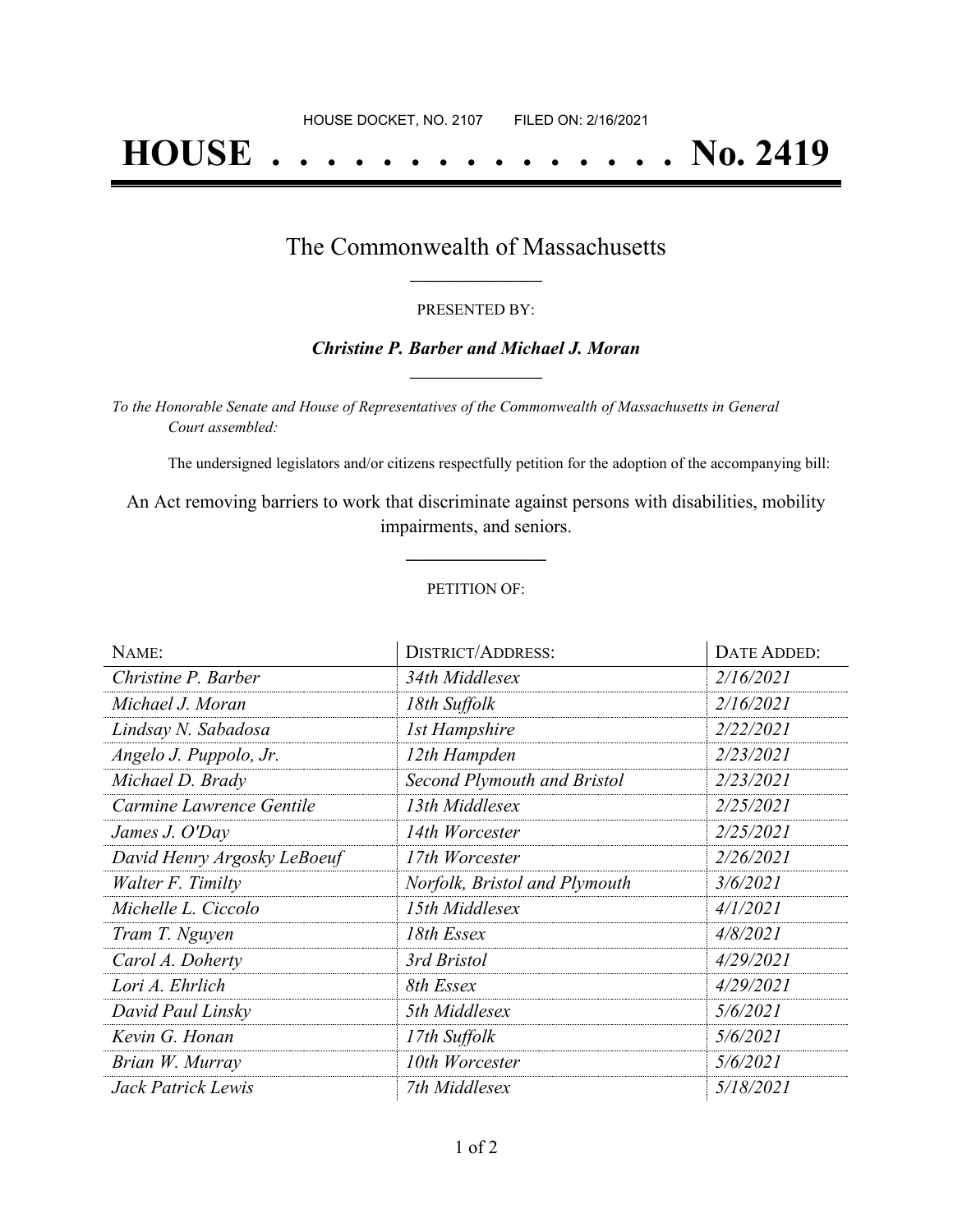# **HOUSE . . . . . . . . . . . . . . . No. 2419**

## The Commonwealth of Massachusetts **\_\_\_\_\_\_\_\_\_\_\_\_\_\_\_\_\_**

#### PRESENTED BY:

#### *Christine P. Barber and Michael J. Moran* **\_\_\_\_\_\_\_\_\_\_\_\_\_\_\_\_\_**

*To the Honorable Senate and House of Representatives of the Commonwealth of Massachusetts in General Court assembled:*

The undersigned legislators and/or citizens respectfully petition for the adoption of the accompanying bill:

An Act removing barriers to work that discriminate against persons with disabilities, mobility impairments, and seniors.

#### PETITION OF:

**\_\_\_\_\_\_\_\_\_\_\_\_\_\_\_**

| NAME:                       | <b>DISTRICT/ADDRESS:</b>           | DATE ADDED: |
|-----------------------------|------------------------------------|-------------|
| Christine P. Barber         | 34th Middlesex                     | 2/16/2021   |
| Michael J. Moran            | 18th Suffolk                       | 2/16/2021   |
| Lindsay N. Sabadosa         | <b>1st Hampshire</b>               | 2/22/2021   |
| Angelo J. Puppolo, Jr.      | 12th Hampden                       | 2/23/2021   |
| Michael D. Brady            | <b>Second Plymouth and Bristol</b> | 2/23/2021   |
| Carmine Lawrence Gentile    | 13th Middlesex                     | 2/25/2021   |
| James J. O'Day              | 14th Worcester                     | 2/25/2021   |
| David Henry Argosky LeBoeuf | 17th Worcester                     | 2/26/2021   |
| Walter F. Timilty           | Norfolk, Bristol and Plymouth      | 3/6/2021    |
| Michelle L. Ciccolo         | 15th Middlesex                     | 4/1/2021    |
| Tram T. Nguyen              | 18th Essex                         | 4/8/2021    |
| Carol A. Doherty            | 3rd Bristol                        | 4/29/2021   |
| Lori A. Ehrlich             | 8th Essex                          | 4/29/2021   |
| David Paul Linsky           | 5th Middlesex                      | 5/6/2021    |
| Kevin G. Honan              | 17th Suffolk                       | 5/6/2021    |
| Brian W. Murray             | 10th Worcester                     | 5/6/2021    |
| Jack Patrick Lewis          | 7th Middlesex                      | 5/18/2021   |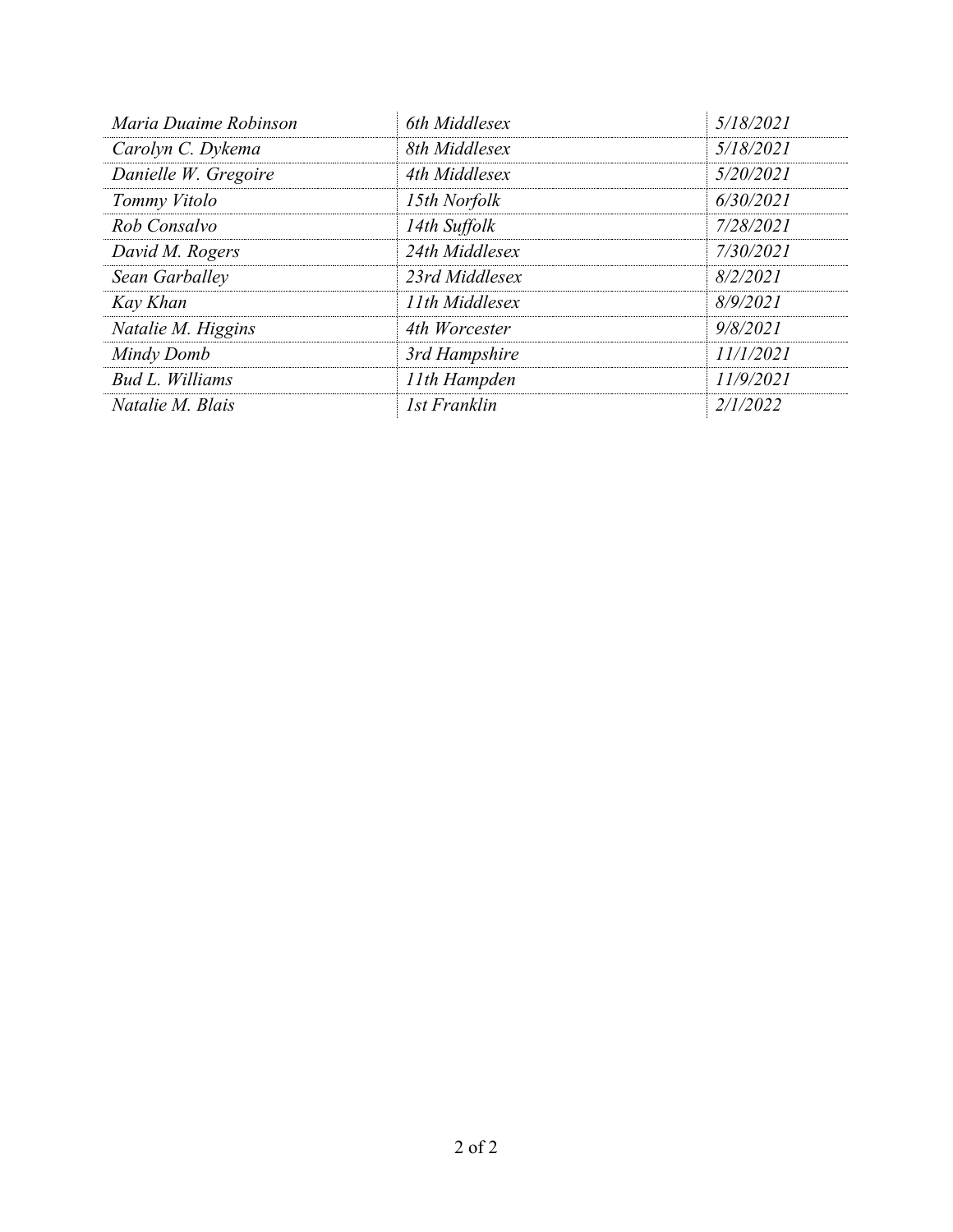| Maria Duaime Robinson | 6th Middlesex       | 5/18/2021 |
|-----------------------|---------------------|-----------|
| Carolyn C. Dykema     | 8th Middlesex       | 5/18/2021 |
| Danielle W. Gregoire  | 4th Middlesex       | 5/20/2021 |
| Tommy Vitolo          | 15th Norfolk        | 6/30/2021 |
| Rob Consalvo          | 14th Suffolk        | 7/28/2021 |
| David M. Rogers       | 24th Middlesex      | 7/30/2021 |
| Sean Garballey        | 23rd Middlesex      | 8/2/2021  |
| Kay Khan              | 11th Middlesex      | 8/9/2021  |
| Natalie M. Higgins    | 4th Worcester       | 9/8/2021  |
| Mindy Domb            | 3rd Hampshire       | 11/1/2021 |
| Bud L. Williams       | 11th Hampden        | 11/9/2021 |
| Natalie M. Blais      | <b>1st Franklin</b> | 2/1/2022  |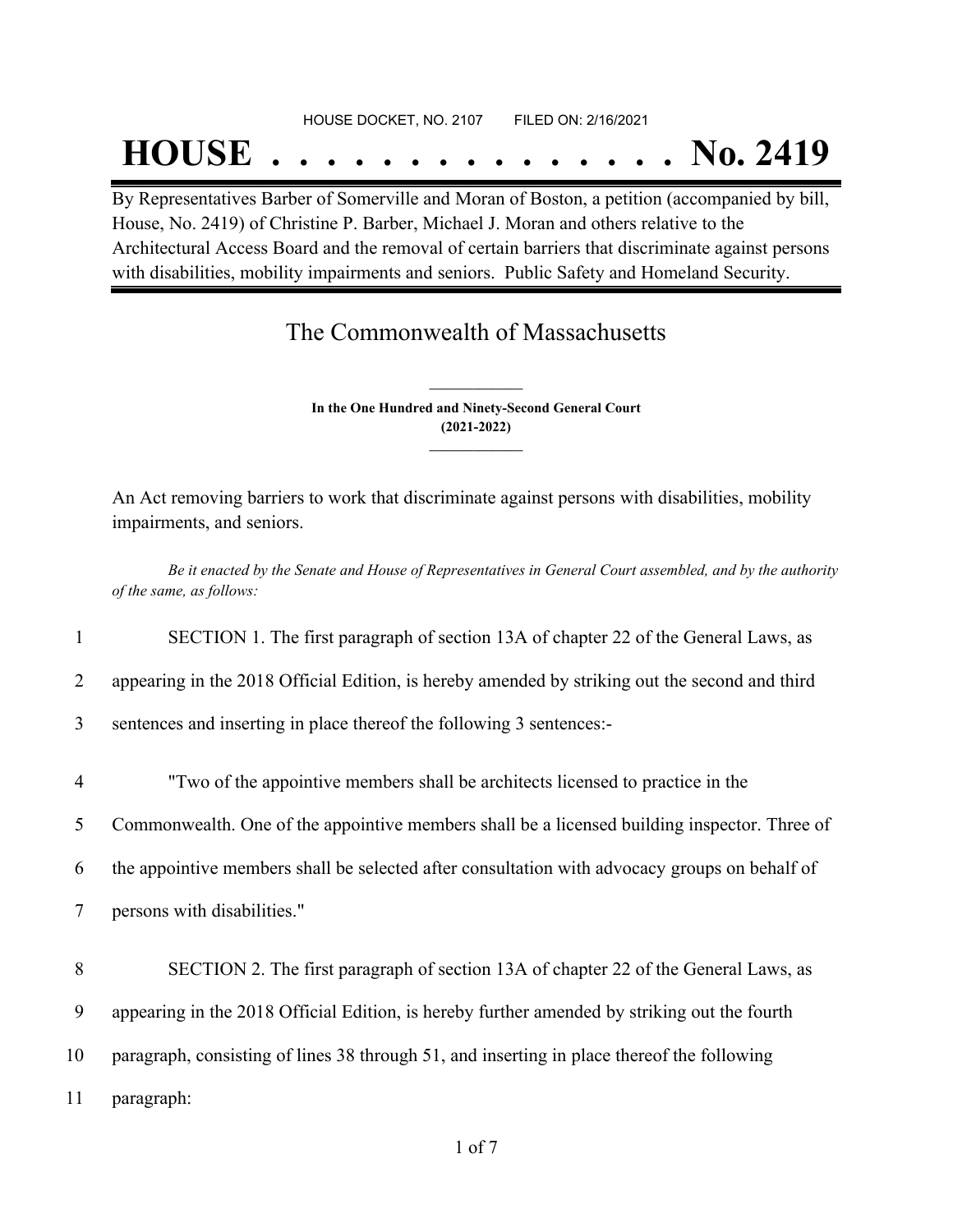#### HOUSE DOCKET, NO. 2107 FILED ON: 2/16/2021

## **HOUSE . . . . . . . . . . . . . . . No. 2419**

By Representatives Barber of Somerville and Moran of Boston, a petition (accompanied by bill, House, No. 2419) of Christine P. Barber, Michael J. Moran and others relative to the Architectural Access Board and the removal of certain barriers that discriminate against persons with disabilities, mobility impairments and seniors. Public Safety and Homeland Security.

## The Commonwealth of Massachusetts

**In the One Hundred and Ninety-Second General Court (2021-2022) \_\_\_\_\_\_\_\_\_\_\_\_\_\_\_**

**\_\_\_\_\_\_\_\_\_\_\_\_\_\_\_**

An Act removing barriers to work that discriminate against persons with disabilities, mobility impairments, and seniors.

Be it enacted by the Senate and House of Representatives in General Court assembled, and by the authority *of the same, as follows:*

1 SECTION 1. The first paragraph of section 13A of chapter 22 of the General Laws, as

2 appearing in the 2018 Official Edition, is hereby amended by striking out the second and third

3 sentences and inserting in place thereof the following 3 sentences:-

4 "Two of the appointive members shall be architects licensed to practice in the

5 Commonwealth. One of the appointive members shall be a licensed building inspector. Three of

6 the appointive members shall be selected after consultation with advocacy groups on behalf of

7 persons with disabilities."

8 SECTION 2. The first paragraph of section 13A of chapter 22 of the General Laws, as

9 appearing in the 2018 Official Edition, is hereby further amended by striking out the fourth

10 paragraph, consisting of lines 38 through 51, and inserting in place thereof the following

11 paragraph: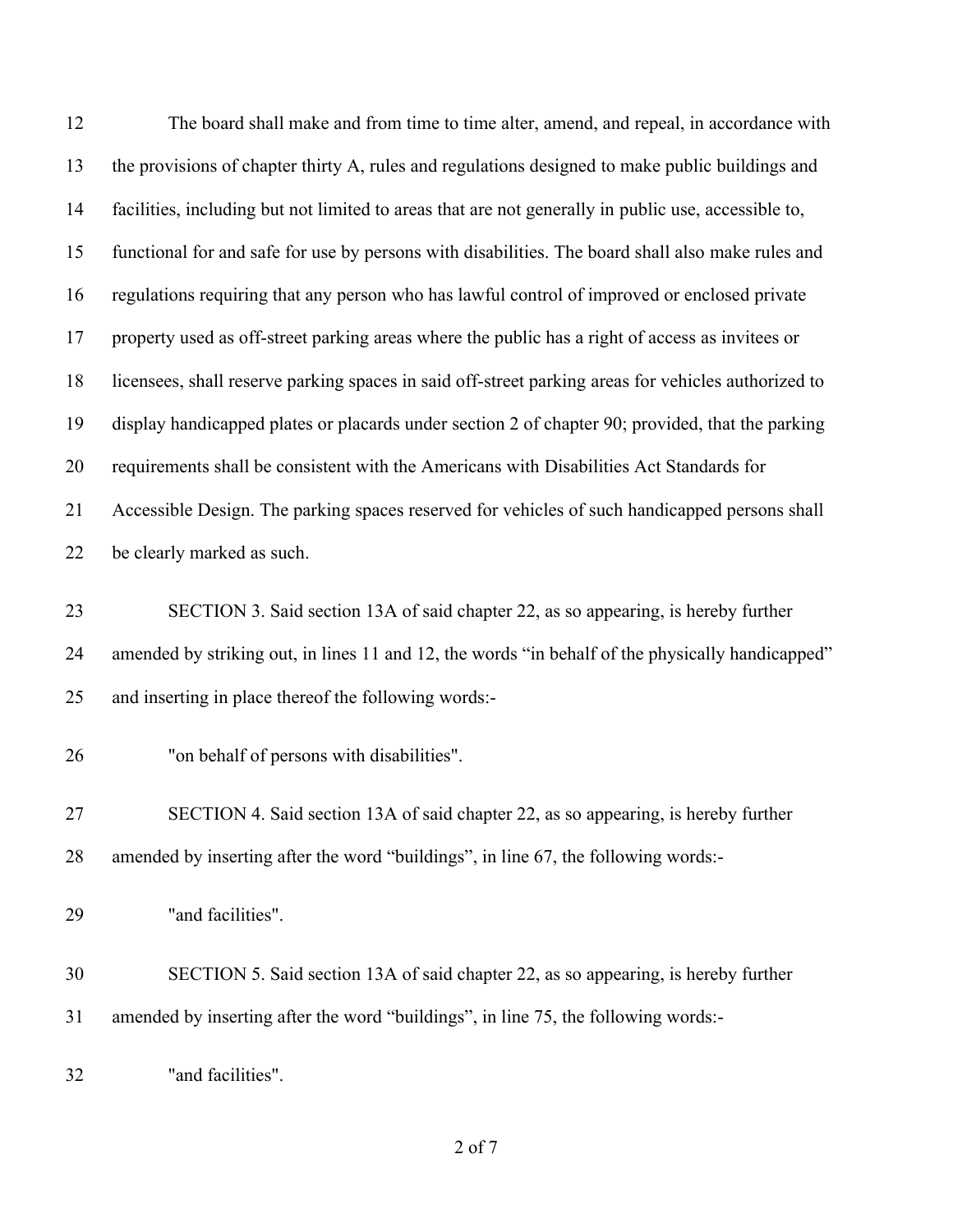| 12 | The board shall make and from time to time alter, amend, and repeal, in accordance with             |
|----|-----------------------------------------------------------------------------------------------------|
| 13 | the provisions of chapter thirty A, rules and regulations designed to make public buildings and     |
| 14 | facilities, including but not limited to areas that are not generally in public use, accessible to, |
| 15 | functional for and safe for use by persons with disabilities. The board shall also make rules and   |
| 16 | regulations requiring that any person who has lawful control of improved or enclosed private        |
| 17 | property used as off-street parking areas where the public has a right of access as invitees or     |
| 18 | licensees, shall reserve parking spaces in said off-street parking areas for vehicles authorized to |
| 19 | display handicapped plates or placards under section 2 of chapter 90; provided, that the parking    |
| 20 | requirements shall be consistent with the Americans with Disabilities Act Standards for             |
| 21 | Accessible Design. The parking spaces reserved for vehicles of such handicapped persons shall       |
| 22 | be clearly marked as such.                                                                          |
| 23 | SECTION 3. Said section 13A of said chapter 22, as so appearing, is hereby further                  |
| 24 | amended by striking out, in lines 11 and 12, the words "in behalf of the physically handicapped"    |
| 25 | and inserting in place thereof the following words:-                                                |
| 26 | "on behalf of persons with disabilities".                                                           |
| 27 | SECTION 4. Said section 13A of said chapter 22, as so appearing, is hereby further                  |
| 28 | amended by inserting after the word "buildings", in line 67, the following words:-                  |
| 29 | "and facilities".                                                                                   |
| 30 | SECTION 5. Said section 13A of said chapter 22, as so appearing, is hereby further                  |
| 31 | amended by inserting after the word "buildings", in line 75, the following words:-                  |
| 32 | "and facilities".                                                                                   |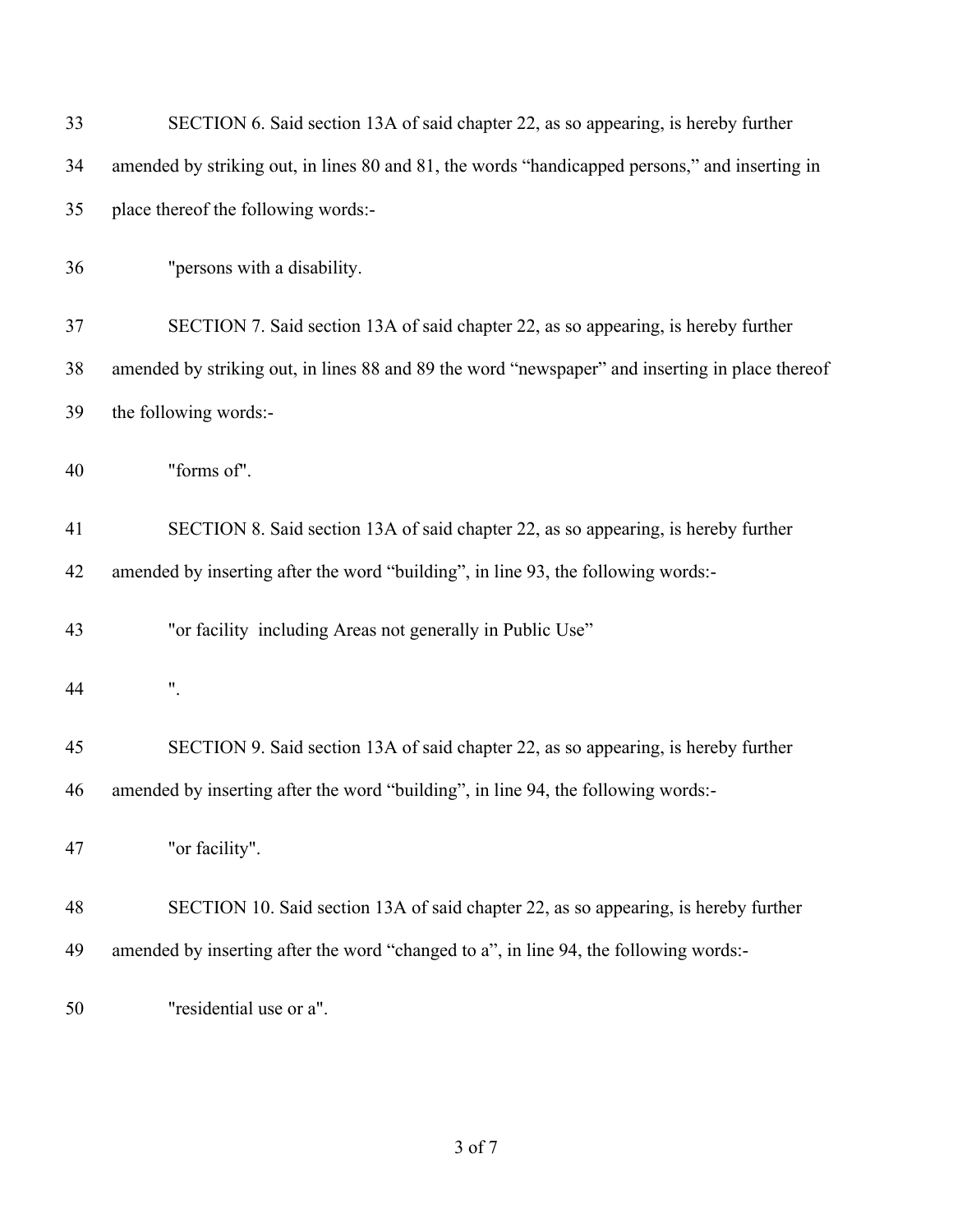| 33 | SECTION 6. Said section 13A of said chapter 22, as so appearing, is hereby further              |
|----|-------------------------------------------------------------------------------------------------|
| 34 | amended by striking out, in lines 80 and 81, the words "handicapped persons," and inserting in  |
| 35 | place thereof the following words:-                                                             |
| 36 | "persons with a disability.                                                                     |
| 37 | SECTION 7. Said section 13A of said chapter 22, as so appearing, is hereby further              |
| 38 | amended by striking out, in lines 88 and 89 the word "newspaper" and inserting in place thereof |
| 39 | the following words:-                                                                           |
| 40 | "forms of".                                                                                     |
| 41 | SECTION 8. Said section 13A of said chapter 22, as so appearing, is hereby further              |
| 42 | amended by inserting after the word "building", in line 93, the following words:-               |
| 43 | "or facility including Areas not generally in Public Use"                                       |
| 44 | ".                                                                                              |
| 45 | SECTION 9. Said section 13A of said chapter 22, as so appearing, is hereby further              |
| 46 | amended by inserting after the word "building", in line 94, the following words:-               |
| 47 | "or facility".                                                                                  |
| 48 | SECTION 10. Said section 13A of said chapter 22, as so appearing, is hereby further             |
| 49 | amended by inserting after the word "changed to a", in line 94, the following words:-           |
| 50 | "residential use or a".                                                                         |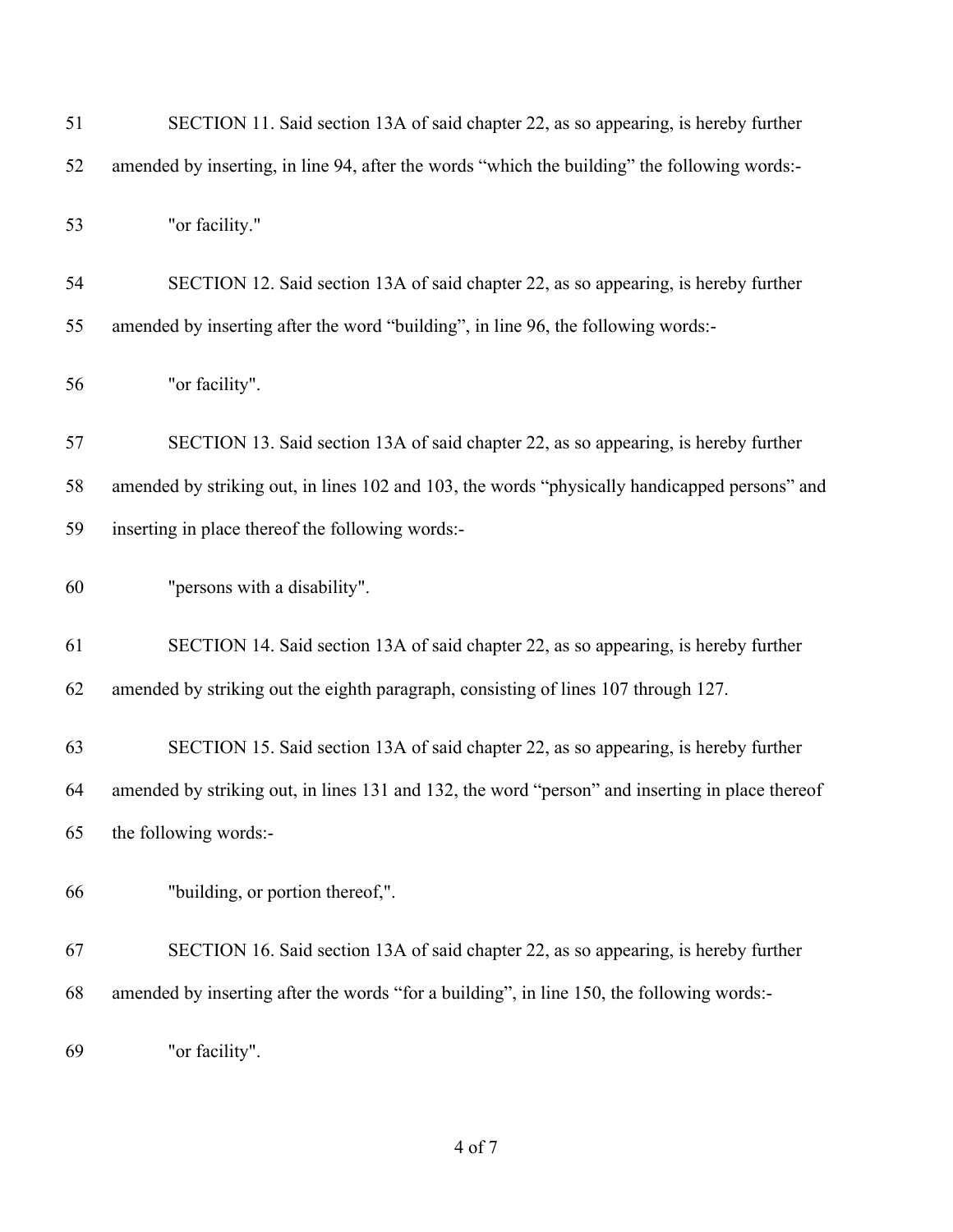| 51 | SECTION 11. Said section 13A of said chapter 22, as so appearing, is hereby further             |
|----|-------------------------------------------------------------------------------------------------|
| 52 | amended by inserting, in line 94, after the words "which the building" the following words:-    |
| 53 | "or facility."                                                                                  |
| 54 | SECTION 12. Said section 13A of said chapter 22, as so appearing, is hereby further             |
| 55 | amended by inserting after the word "building", in line 96, the following words:-               |
| 56 | "or facility".                                                                                  |
| 57 | SECTION 13. Said section 13A of said chapter 22, as so appearing, is hereby further             |
| 58 | amended by striking out, in lines 102 and 103, the words "physically handicapped persons" and   |
| 59 | inserting in place thereof the following words:-                                                |
| 60 | "persons with a disability".                                                                    |
| 61 | SECTION 14. Said section 13A of said chapter 22, as so appearing, is hereby further             |
| 62 | amended by striking out the eighth paragraph, consisting of lines 107 through 127.              |
| 63 | SECTION 15. Said section 13A of said chapter 22, as so appearing, is hereby further             |
| 64 | amended by striking out, in lines 131 and 132, the word "person" and inserting in place thereof |
| 65 | the following words:-                                                                           |
| 66 | "building, or portion thereof,".                                                                |
| 67 | SECTION 16. Said section 13A of said chapter 22, as so appearing, is hereby further             |
| 68 | amended by inserting after the words "for a building", in line 150, the following words:-       |
| 69 | "or facility".                                                                                  |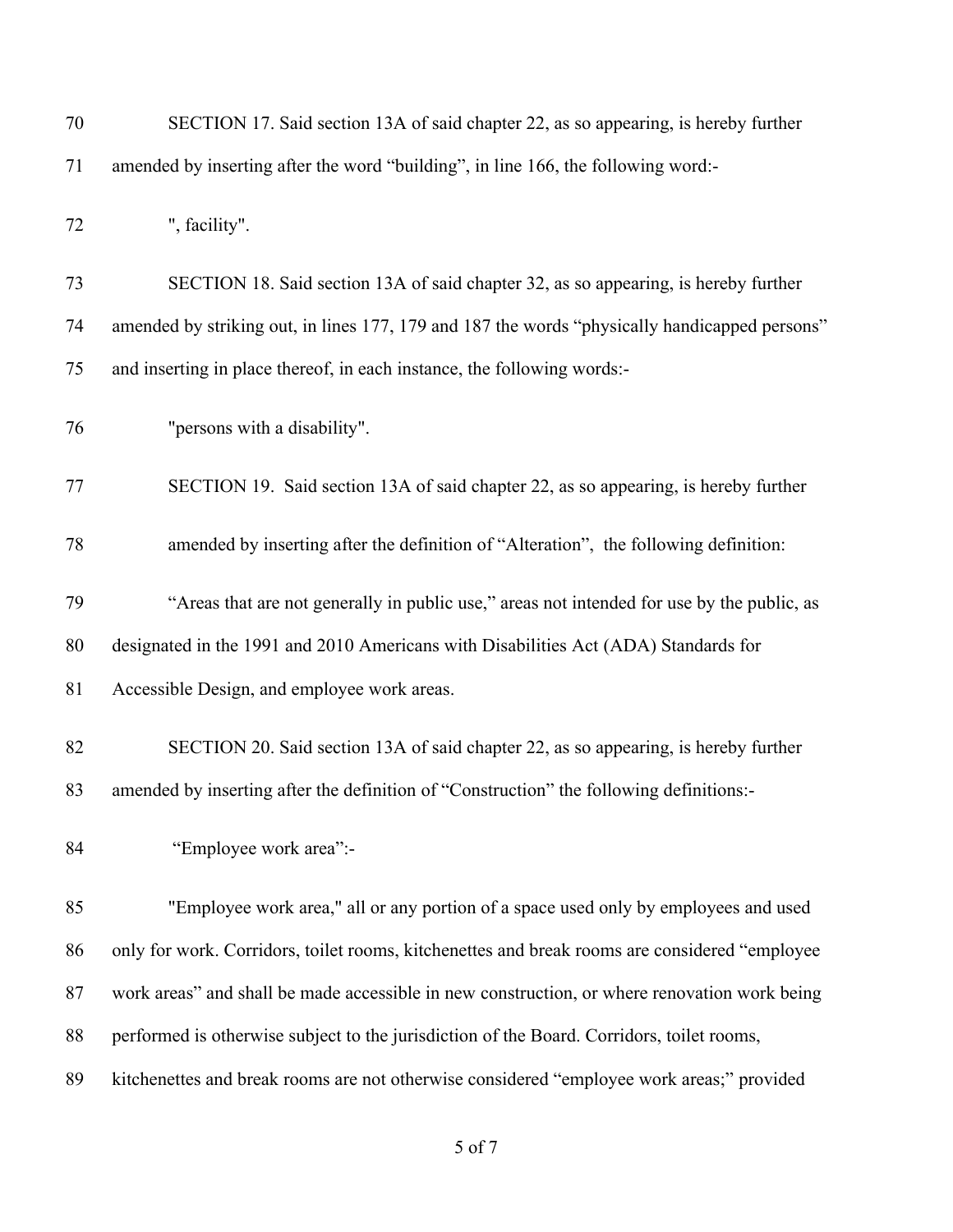| 70 | SECTION 17. Said section 13A of said chapter 22, as so appearing, is hereby further           |
|----|-----------------------------------------------------------------------------------------------|
| 71 | amended by inserting after the word "building", in line 166, the following word:-             |
| 72 | ", facility".                                                                                 |
| 73 | SECTION 18. Said section 13A of said chapter 32, as so appearing, is hereby further           |
| 74 | amended by striking out, in lines 177, 179 and 187 the words "physically handicapped persons" |
| 75 | and inserting in place thereof, in each instance, the following words:-                       |
| 76 | "persons with a disability".                                                                  |
| 77 | SECTION 19. Said section 13A of said chapter 22, as so appearing, is hereby further           |
| 78 | amended by inserting after the definition of "Alteration", the following definition:          |
| 79 | "Areas that are not generally in public use," areas not intended for use by the public, as    |
| 80 | designated in the 1991 and 2010 Americans with Disabilities Act (ADA) Standards for           |
| 81 | Accessible Design, and employee work areas.                                                   |
| 82 | SECTION 20. Said section 13A of said chapter 22, as so appearing, is hereby further           |
| 83 | amended by inserting after the definition of "Construction" the following definitions:-       |
| 84 | "Employee work area":-                                                                        |
| 85 | "Employee work area," all or any portion of a space used only by employees and used           |
| 86 | only for work. Corridors, toilet rooms, kitchenettes and break rooms are considered "employee |
| 87 | work areas" and shall be made accessible in new construction, or where renovation work being  |
| 88 | performed is otherwise subject to the jurisdiction of the Board. Corridors, toilet rooms,     |
| 89 | kitchenettes and break rooms are not otherwise considered "employee work areas;" provided     |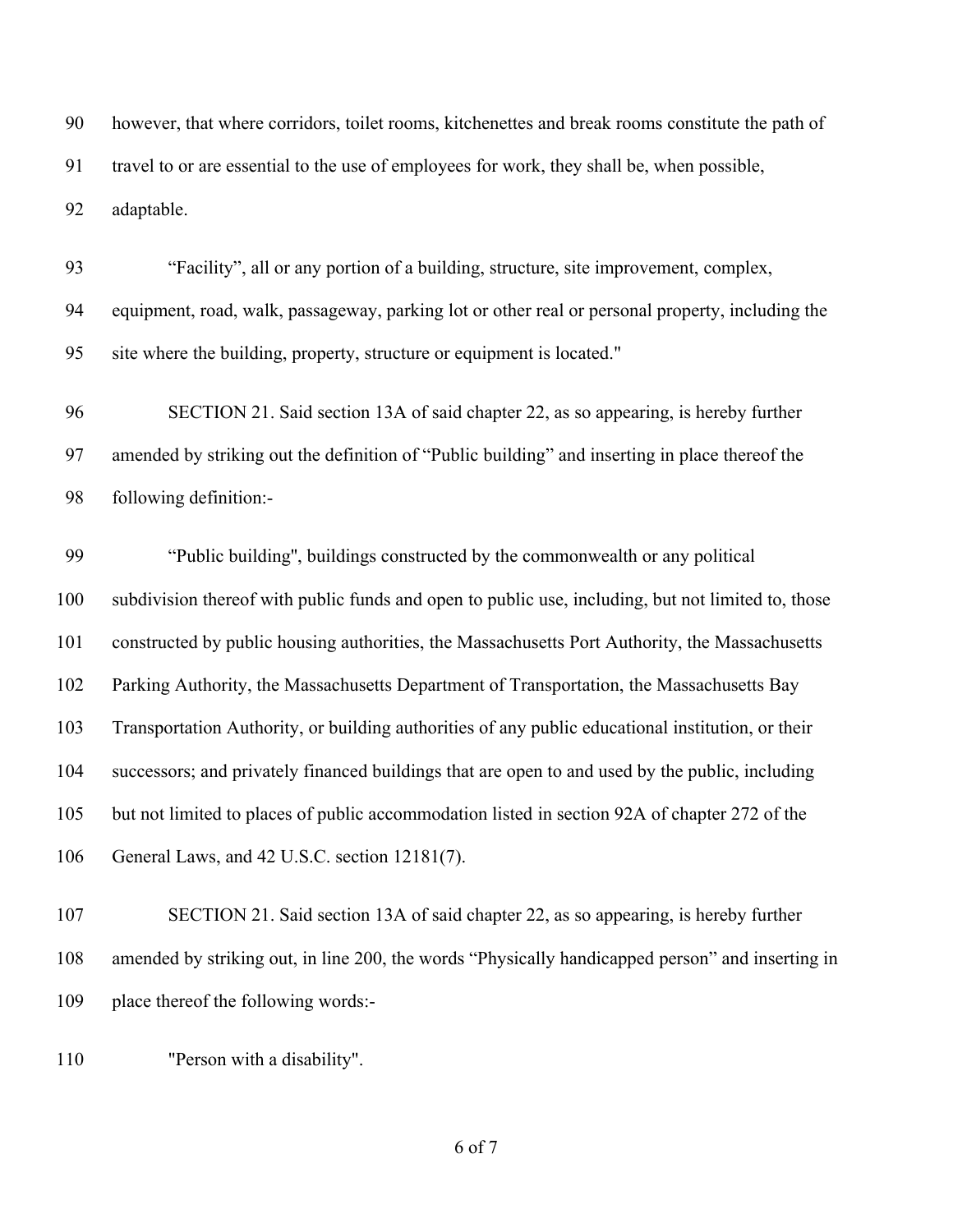however, that where corridors, toilet rooms, kitchenettes and break rooms constitute the path of travel to or are essential to the use of employees for work, they shall be, when possible, adaptable.

 "Facility", all or any portion of a building, structure, site improvement, complex, equipment, road, walk, passageway, parking lot or other real or personal property, including the site where the building, property, structure or equipment is located."

 SECTION 21. Said section 13A of said chapter 22, as so appearing, is hereby further amended by striking out the definition of "Public building" and inserting in place thereof the following definition:-

 "Public building'', buildings constructed by the commonwealth or any political subdivision thereof with public funds and open to public use, including, but not limited to, those constructed by public housing authorities, the Massachusetts Port Authority, the Massachusetts Parking Authority, the Massachusetts Department of Transportation, the Massachusetts Bay Transportation Authority, or building authorities of any public educational institution, or their successors; and privately financed buildings that are open to and used by the public, including but not limited to places of public accommodation listed in section 92A of chapter 272 of the General Laws, and 42 U.S.C. section 12181(7).

 SECTION 21. Said section 13A of said chapter 22, as so appearing, is hereby further amended by striking out, in line 200, the words "Physically handicapped person" and inserting in place thereof the following words:-

"Person with a disability".